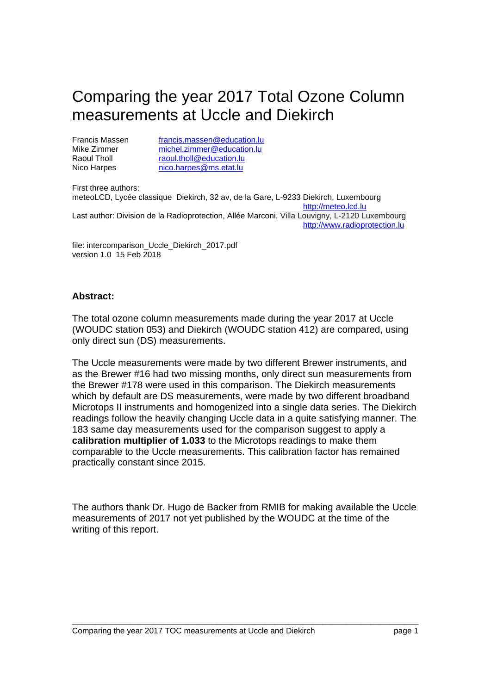# Comparing the year 2017 Total Ozone Column measurements at Uccle and Diekirch

Francis Massen francis.massen@education.lu<br>Mike Zimmer michel.zimmer@education.lu Mike Zimmer michel.zimmer@education.lu<br>
Raoul Tholl raoul.tholl@education.lu raoul.tholl@education.lu Nico Harpes nico.harpes@ms.etat.lu

First three authors: meteoLCD, Lycée classique Diekirch, 32 av, de la Gare, L-9233 Diekirch, Luxembourg http://meteo.lcd.lu Last author: Division de la Radioprotection, Allée Marconi, Villa Louvigny, L-2120 Luxembourg http://www.radioprotection.lu

file: intercomparison\_Uccle\_Diekirch\_2017.pdf version 1.0 15 Feb 2018

#### **Abstract:**

The total ozone column measurements made during the year 2017 at Uccle (WOUDC station 053) and Diekirch (WOUDC station 412) are compared, using only direct sun (DS) measurements.

The Uccle measurements were made by two different Brewer instruments, and as the Brewer #16 had two missing months, only direct sun measurements from the Brewer #178 were used in this comparison. The Diekirch measurements which by default are DS measurements, were made by two different broadband Microtops II instruments and homogenized into a single data series. The Diekirch readings follow the heavily changing Uccle data in a quite satisfying manner. The 183 same day measurements used for the comparison suggest to apply a **calibration multiplier of 1.033** to the Microtops readings to make them comparable to the Uccle measurements. This calibration factor has remained practically constant since 2015.

The authors thank Dr. Hugo de Backer from RMIB for making available the Uccle measurements of 2017 not yet published by the WOUDC at the time of the writing of this report.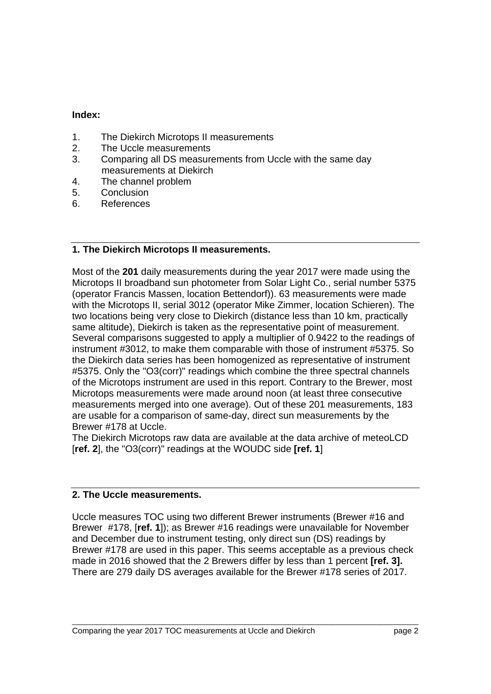#### **Index:**

- 1. The Diekirch Microtops II measurements
- 2. The Uccle measurements
- 3. Comparing all DS measurements from Uccle with the same day measurements at Diekirch
- 4. The channel problem
- 5. Conclusion
- 6. References

### **1. The Diekirch Microtops II measurements.**

Most of the **201** daily measurements during the year 2017 were made using the Microtops II broadband sun photometer from Solar Light Co., serial number 5375 (operator Francis Massen, location Bettendorf)). 63 measurements were made with the Microtops II, serial 3012 (operator Mike Zimmer, location Schieren). The two locations being very close to Diekirch (distance less than 10 km, practically same altitude), Diekirch is taken as the representative point of measurement. Several comparisons suggested to apply a multiplier of 0.9422 to the readings of instrument #3012, to make them comparable with those of instrument #5375. So the Diekirch data series has been homogenized as representative of instrument #5375. Only the "O3(corr)" readings which combine the three spectral channels of the Microtops instrument are used in this report. Contrary to the Brewer, most Microtops measurements were made around noon (at least three consecutive measurements merged into one average). Out of these 201 measurements, 183 are usable for a comparison of same-day, direct sun measurements by the Brewer #178 at Uccle.

The Diekirch Microtops raw data are available at the data archive of meteoLCD [**ref. 2**], the "O3(corr)" readings at the WOUDC side **[ref. 1**]

#### **2. The Uccle measurements.**

Uccle measures TOC using two different Brewer instruments (Brewer #16 and Brewer #178, [**ref. 1**]); as Brewer #16 readings were unavailable for November and December due to instrument testing, only direct sun (DS) readings by Brewer #178 are used in this paper. This seems acceptable as a previous check made in 2016 showed that the 2 Brewers differ by less than 1 percent **[ref. 3].**  There are 279 daily DS averages available for the Brewer #178 series of 2017.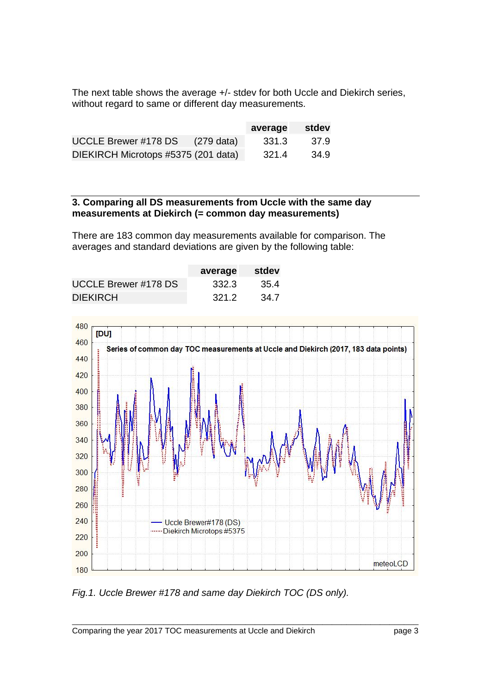The next table shows the average +/- stdev for both Uccle and Diekirch series, without regard to same or different day measurements.

|                                     |                      | average | stdev |
|-------------------------------------|----------------------|---------|-------|
| <b>UCCLE Brewer #178 DS</b>         | $(279 \text{ data})$ | -331.3  | 37.9  |
| DIEKIRCH Microtops #5375 (201 data) |                      | 321.4   | 34.9  |

#### **3. Comparing all DS measurements from Uccle with the same day measurements at Diekirch (= common day measurements)**

There are 183 common day measurements available for comparison. The averages and standard deviations are given by the following table:

|                             | average | stdev |
|-----------------------------|---------|-------|
| <b>UCCLE Brewer #178 DS</b> | 332.3   | 35.4  |
| <b>DIEKIRCH</b>             | 321.2   | 34.7  |



*Fig.1. Uccle Brewer #178 and same day Diekirch TOC (DS only).*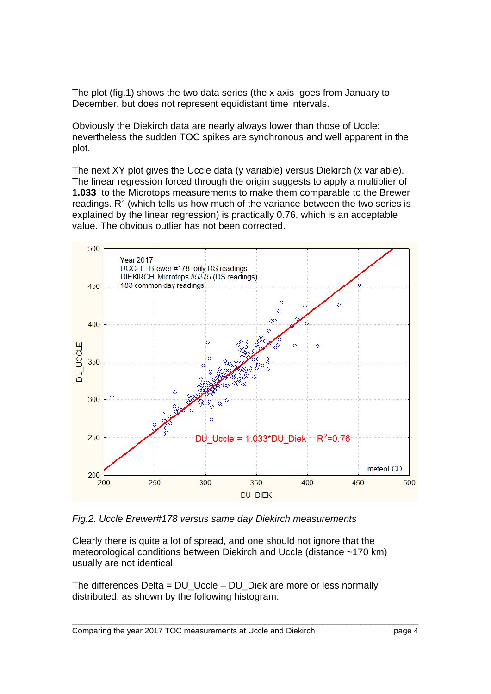The plot (fig.1) shows the two data series (the x axis goes from January to December, but does not represent equidistant time intervals.

Obviously the Diekirch data are nearly always lower than those of Uccle; nevertheless the sudden TOC spikes are synchronous and well apparent in the plot.

The next XY plot gives the Uccle data (y variable) versus Diekirch (x variable). The linear regression forced through the origin suggests to apply a multiplier of **1.033** to the Microtops measurements to make them comparable to the Brewer readings.  $R^2$  (which tells us how much of the variance between the two series is explained by the linear regression) is practically 0.76, which is an acceptable value. The obvious outlier has not been corrected.



*Fig.2. Uccle Brewer#178 versus same day Diekirch measurements* 

Clearly there is quite a lot of spread, and one should not ignore that the meteorological conditions between Diekirch and Uccle (distance ~170 km) usually are not identical.

The differences Delta = DU\_Uccle – DU\_Diek are more or less normally distributed, as shown by the following histogram: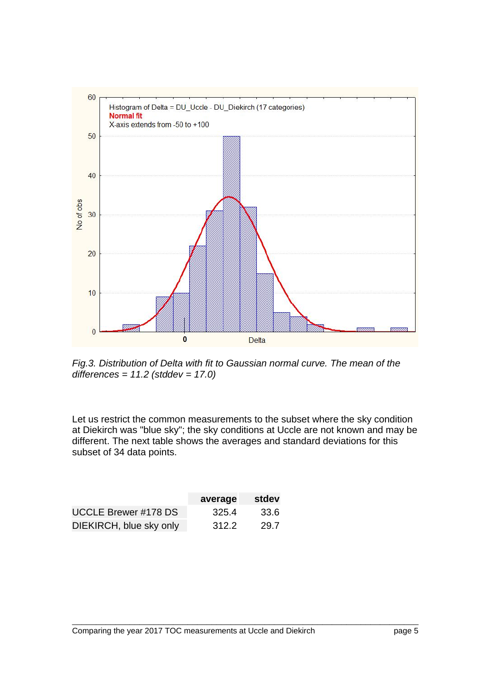

*Fig.3. Distribution of Delta with fit to Gaussian normal curve. The mean of the differences = 11.2 (stddev = 17.0)* 

Let us restrict the common measurements to the subset where the sky condition at Diekirch was "blue sky"; the sky conditions at Uccle are not known and may be different. The next table shows the averages and standard deviations for this subset of 34 data points.

|                             | average | stdev |
|-----------------------------|---------|-------|
| <b>UCCLE Brewer #178 DS</b> | 325.4   | 33.6  |
| DIEKIRCH, blue sky only     | 312.2   | 29.7  |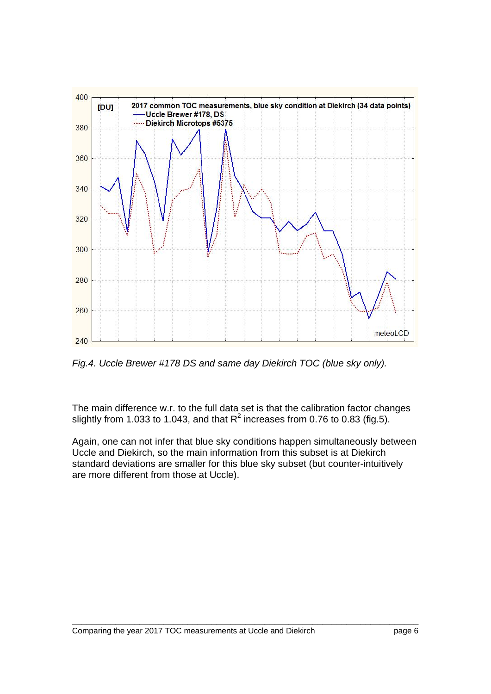

*Fig.4. Uccle Brewer #178 DS and same day Diekirch TOC (blue sky only).* 

The main difference w.r. to the full data set is that the calibration factor changes slightly from 1.033 to 1.043, and that  $R^2$  increases from 0.76 to 0.83 (fig.5).

Again, one can not infer that blue sky conditions happen simultaneously between Uccle and Diekirch, so the main information from this subset is at Diekirch standard deviations are smaller for this blue sky subset (but counter-intuitively are more different from those at Uccle).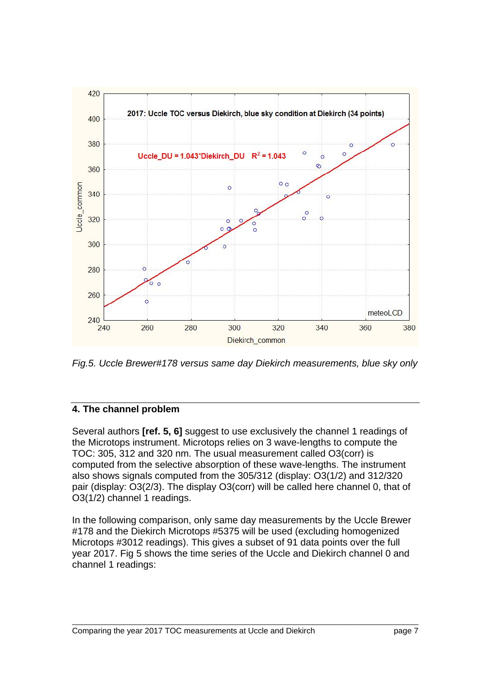

*Fig.5. Uccle Brewer#178 versus same day Diekirch measurements, blue sky only* 

## **4. The channel problem**

Several authors **[ref. 5, 6]** suggest to use exclusively the channel 1 readings of the Microtops instrument. Microtops relies on 3 wave-lengths to compute the TOC: 305, 312 and 320 nm. The usual measurement called O3(corr) is computed from the selective absorption of these wave-lengths. The instrument also shows signals computed from the 305/312 (display: O3(1/2) and 312/320 pair (display: O3(2/3). The display O3(corr) will be called here channel 0, that of O3(1/2) channel 1 readings.

In the following comparison, only same day measurements by the Uccle Brewer #178 and the Diekirch Microtops #5375 will be used (excluding homogenized Microtops #3012 readings). This gives a subset of 91 data points over the full year 2017. Fig 5 shows the time series of the Uccle and Diekirch channel 0 and channel 1 readings: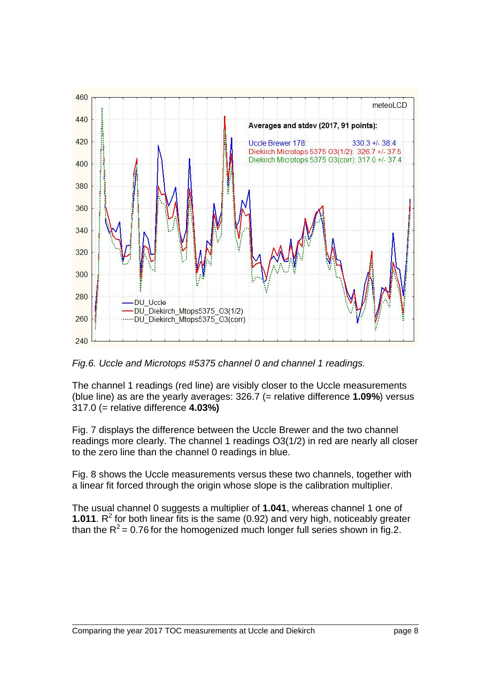

*Fig.6. Uccle and Microtops #5375 channel 0 and channel 1 readings.* 

The channel 1 readings (red line) are visibly closer to the Uccle measurements (blue line) as are the yearly averages: 326.7 (= relative difference **1.09%**) versus 317.0 (= relative difference **4.03%)**

Fig. 7 displays the difference between the Uccle Brewer and the two channel readings more clearly. The channel 1 readings O3(1/2) in red are nearly all closer to the zero line than the channel 0 readings in blue.

Fig. 8 shows the Uccle measurements versus these two channels, together with a linear fit forced through the origin whose slope is the calibration multiplier.

The usual channel 0 suggests a multiplier of **1.041**, whereas channel 1 one of **1.011**.  $R^2$  for both linear fits is the same (0.92) and very high, noticeably greater than the  $R^2$  = 0.76 for the homogenized much longer full series shown in fig.2.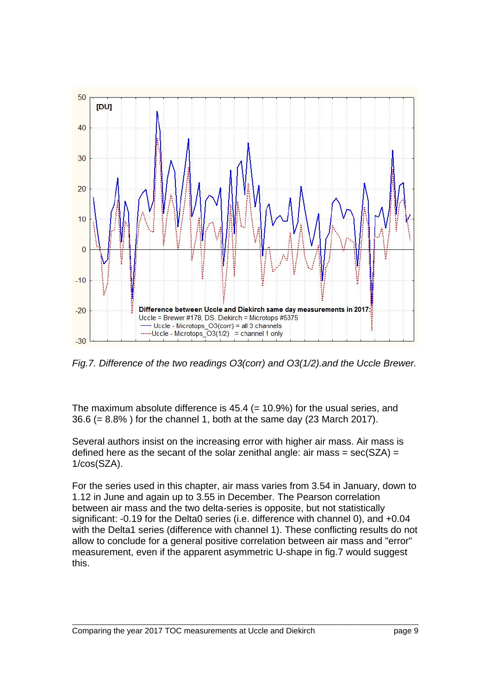

*Fig.7. Difference of the two readings O3(corr) and O3(1/2).and the Uccle Brewer.* 

The maximum absolute difference is  $45.4$  (= 10.9%) for the usual series, and 36.6 (= 8.8% ) for the channel 1, both at the same day (23 March 2017).

Several authors insist on the increasing error with higher air mass. Air mass is defined here as the secant of the solar zenithal angle: air mass =  $sec(SZA)$  = 1/cos(SZA).

For the series used in this chapter, air mass varies from 3.54 in January, down to 1.12 in June and again up to 3.55 in December. The Pearson correlation between air mass and the two delta-series is opposite, but not statistically significant: -0.19 for the Delta0 series (i.e. difference with channel 0), and +0.04 with the Delta1 series (difference with channel 1). These conflicting results do not allow to conclude for a general positive correlation between air mass and "error" measurement, even if the apparent asymmetric U-shape in fig.7 would suggest this.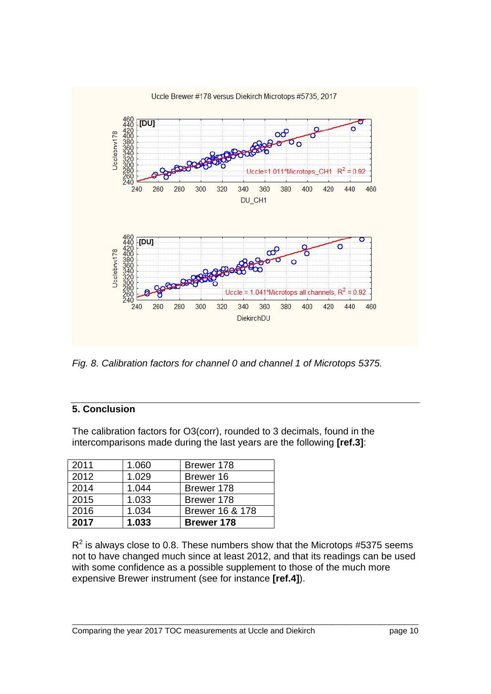

*Fig. 8. Calibration factors for channel 0 and channel 1 of Microtops 5375.* 

## **5. Conclusion**

The calibration factors for O3(corr), rounded to 3 decimals, found in the intercomparisons made during the last years are the following **[ref.3]**:

| 2017 | 1.033 | <b>Brewer 178</b> |
|------|-------|-------------------|
| 2016 | 1.034 | Brewer 16 & 178   |
| 2015 | 1.033 | Brewer 178        |
| 2014 | 1.044 | Brewer 178        |
| 2012 | 1.029 | Brewer 16         |
| 2011 | 1.060 | Brewer 178        |

 $R^2$  is always close to 0.8. These numbers show that the Microtops #5375 seems not to have changed much since at least 2012, and that its readings can be used with some confidence as a possible supplement to those of the much more expensive Brewer instrument (see for instance **[ref.4]**).